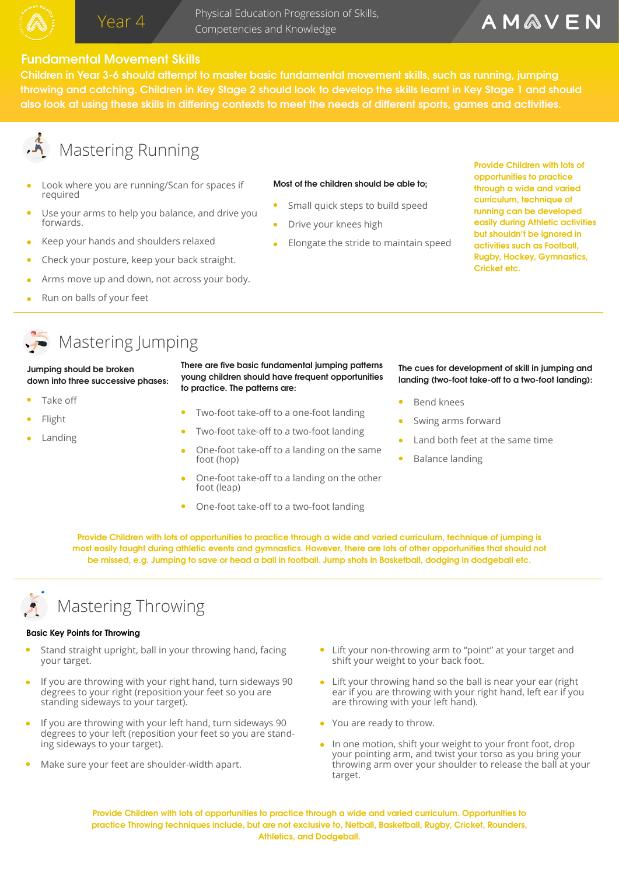Physical Education Progression of Skills, Year 4 **Trigsical Education Progression**<br>Competencies and Knowledge

# AMAVEN

### **Fundamental Movement Skills**

Fundamental Movement Skills<br>Children in Year 3-6 should attempt to master basic fundamental movement skills, such as running, jumping throwing and catching. Children in Key Stage 2 should look to develop the skills learnt in Key Stage 1 and should also look at using these skills in differing contexts to meet the needs of different sports, games and activities.

# **A** Mastering Running

- Look where you are running/Scan for spaces if required
- Use your arms to help you balance, and drive you forwards.
- Keep your hands and shoulders relaxed
- Check your posture, keep your back straight.
- Arms move up and down, not across your body.
- Run on balls of your feet

### **Most of the children should be able to;**

- Small quick steps to build speed
- Drive your knees high
- Elongate the stride to maintain speed

**Provide Children with lots of opportunities to practice through a wide and varied curriculum, technique of running can be developed easily during Athletic activities but shouldn't be ignored in activities such as Football, Rugby, Hockey, Gymnastics, Cricket etc.** 

# Mastering Jumping

#### **Jumping should be broken down into three successive phases:**

- Take off
- Flight
- Landing

There are five basic fundamental jumping patterns **young children should have frequent opportunities to practice. The patterns are:** 

- Two-foot take-off to a one-foot landing
- Two-foot take-off to a two-foot landing
- One-foot take-off to a landing on the same foot (hop)
- One-foot take-off to a landing on the other foot (leap)
- One-foot take-off to a two-foot landing

#### **The cues for development of skill in jumping and**  landing (two-foot take-off to a two-foot landing):

- Bend knees
- Swing arms forward
- Land both feet at the same time
- Balance landing

**Provide Children with lots of opportunities to practice through a wide and varied curriculum, technique of jumping is most easily taught during athletic events and gymnastics. However, there are lots of other opportunities that should not be missed, e.g. Jumping to save or head a ball in football. Jump shots in Basketball, dodging in dodgeball etc.** 



# Mastering Throwing

#### **Basic Key Points for Throwing**

- Stand straight upright, ball in your throwing hand, facing your target.
- If you are throwing with your right hand, turn sideways 90 degrees to your right (reposition your feet so you are standing sideways to your target).
- If you are throwing with your left hand, turn sideways 90 degrees to your left (reposition your feet so you are standing sideways to your target).
- Make sure your feet are shoulder-width apart.
- Lift your non-throwing arm to "point" at your target and shift your weight to your back foot.
- Lift your throwing hand so the ball is near your ear (right ear if you are throwing with your right hand, left ear if you are throwing with your left hand).
- You are ready to throw.
- In one motion, shift your weight to your front foot, drop your pointing arm, and twist your torso as you bring your throwing arm over your shoulder to release the ball at your target.

**Provide Children with lots of opportunities to practice through a wide and varied curriculum. Opportunities to practice Throwing techniques include, but are not exclusive to, Netball, Basketball, Rugby, Cricket, Rounders, Athletics, and Dodgeball.**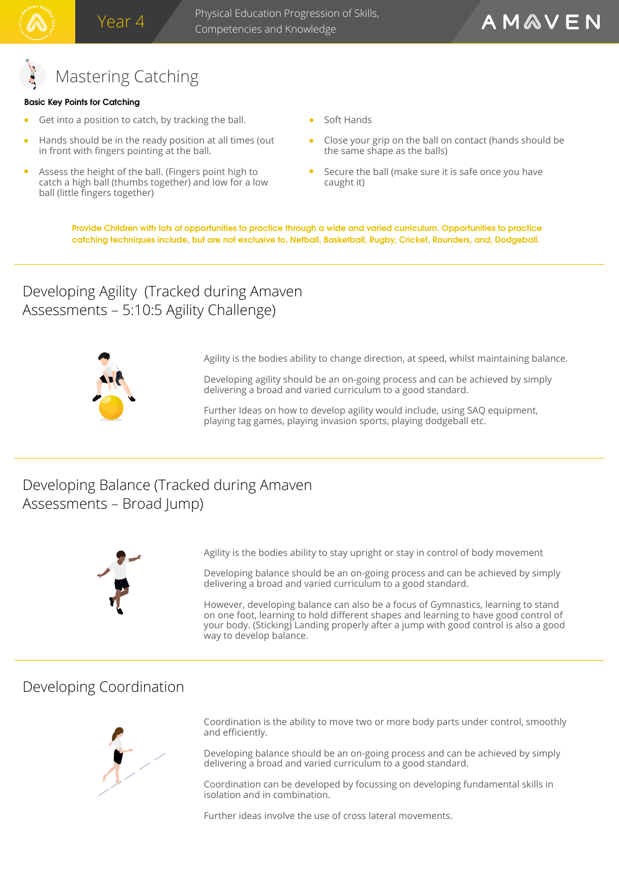# Mastering Catching

### **Basic Key Points for Catching**

- Get into a position to catch, by tracking the ball.
- Hands should be in the ready position at all times (out in front with fingers pointing at the ball.
- Assess the height of the ball. (Fingers point high to catch a high ball (thumbs together) and low for a low ball (little fingers together)
- Soft Hands
- Close your grip on the ball on contact (hands should be the same shape as the balls)
- Secure the ball (make sure it is safe once you have caught it)

**Provide Children with lots of opportunities to practice through a wide and varied curriculum. Opportunities to practice catching techniques include, but are not exclusive to, Netball, Basketball, Rugby, Cricket, Rounders, and, Dodgeball.** 

## Developing Agility (Tracked during Amaven Assessments – 5:10:5 Agility Challenge)



Agility is the bodies ability to change direction, at speed, whilst maintaining balance.

Developing agility should be an on-going process and can be achieved by simply delivering a broad and varied curriculum to a good standard.

Further Ideas on how to develop agility would include, using SAQ equipment, playing tag games, playing invasion sports, playing dodgeball etc.

# Developing Balance (Tracked during Amaven Assessments – Broad Jump)



Agility is the bodies ability to stay upright or stay in control of body movement

Developing balance should be an on-going process and can be achieved by simply delivering a broad and varied curriculum to a good standard.

However, developing balance can also be a focus of Gymnastics, learning to stand on one foot, learning to hold different shapes and learning to have good control of your body. (Sticking) Landing properly after a jump with good control is also a good way to develop balance.

## Developing Coordination



Coordination is the ability to move two or more body parts under control, smoothly and efficiently.

Developing balance should be an on-going process and can be achieved by simply delivering a broad and varied curriculum to a good standard.

Coordination can be developed by focussing on developing fundamental skills in isolation and in combination.

Further ideas involve the use of cross lateral movements.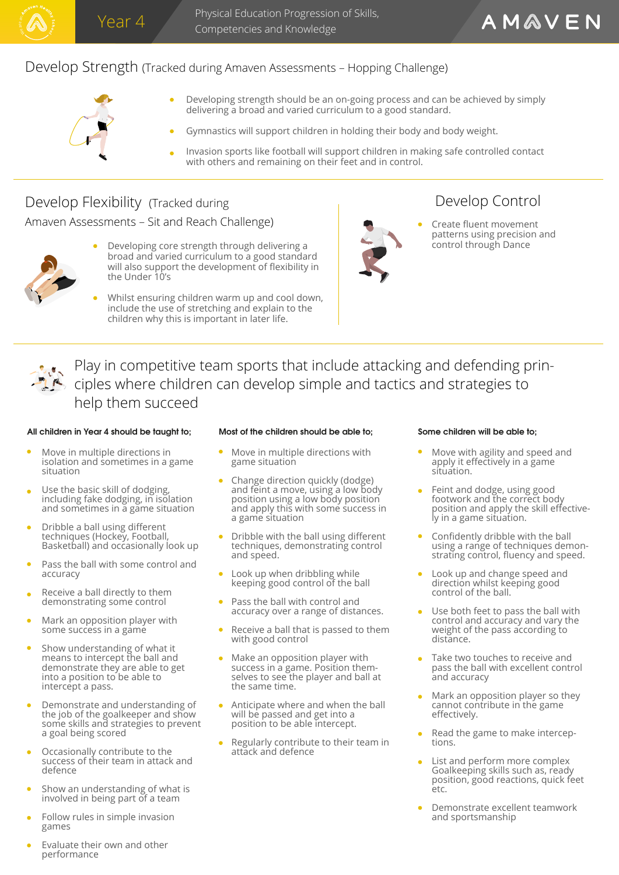

Physical Education Progression of Skills, Competencies and Knowledge

## Develop Strength (Tracked during Amaven Assessments – Hopping Challenge)



- $\bullet$ Developing strength should be an on-going process and can be achieved by simply delivering a broad and varied curriculum to a good standard.
- Gymnastics will support children in holding their body and body weight.
- Invasion sports like football will support children in making safe controlled contact with others and remaining on their feet and in control.

## Develop Flexibility (Tracked during

Amaven Assessments – Sit and Reach Challenge) and the Create fluent movement



- Developing core strength through delivering a  $\bullet$ broad and varied curriculum to a good standard will also support the development of flexibility in the Under 10's
- Whilst ensuring children warm up and cool down, include the use of stretching and explain to the children why this is important in later life.



# Develop Control

patterns using precision and control through Dance

Play in competitive team sports that include attacking and defending principles where children can develop simple and tactics and strategies to help them succeed

#### **All children in Year 4 should be taught to; Most of the children should be able to; Some children will be able to;**

- Move in multiple directions in isolation and sometimes in a game situation
- Use the basic skill of dodging, including fake dodging, in isolation and sometimes in a game situation
- Dribble a ball using different techniques (Hockey, Football, Basketball) and occasionally look up
- Pass the ball with some control and accuracy
- Receive a ball directly to them demonstrating some control
- Mark an opposition player with some success in a game
- Show understanding of what it means to intercept the ball and demonstrate they are able to get into a position to be able to intercept a pass.
- Demonstrate and understanding of the job of the goalkeeper and show some skills and strategies to prevent a goal being scored
- Occasionally contribute to the success of their team in attack and defence
- Show an understanding of what is involved in being part of a team
- Follow rules in simple invasion games

#### Evaluate their own and other performance

- Move in multiple directions with game situation
- Change direction quickly (dodge) and feint a move, using a low body position using a low body position and apply this with some success in a game situation
- Dribble with the ball using different techniques, demonstrating control and speed.
- $\bullet$ Look up when dribbling while keeping good control of the ball
- $\bullet$ Pass the ball with control and accuracy over a range of distances.
- Receive a ball that is passed to them with good control
- Make an opposition player with success in a game. Position themselves to see the player and ball at the same time.
- Anticipate where and when the ball will be passed and get into a position to be able intercept.
- Regularly contribute to their team in attack and defence

- Move with agility and speed and apply it effectively in a game situation.
- Feint and dodge, using good footwork and the correct body position and apply the skill effectively in a game situation.
- Confidently dribble with the ball using a range of techniques demonstrating control, fluency and speed.
- Look up and change speed and direction whilst keeping good control of the ball.
- Use both feet to pass the ball with control and accuracy and vary the weight of the pass according to distance.
- Take two touches to receive and pass the ball with excellent control and accuracy
- Mark an opposition player so they cannot contribute in the game effectively.
- Read the game to make interceptions.
- List and perform more complex Goalkeeping skills such as, ready position, good reactions, quick feet etc.
- Demonstrate excellent teamwork and sportsmanship